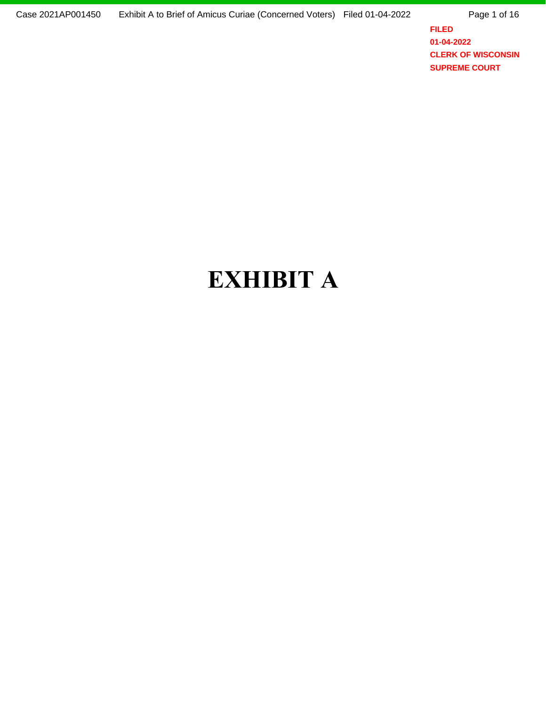Page 1 of 16

**FILED 01-04-2022 CLERK OF WISCONSIN SUPREME COURT**

## EXHIBIT **A**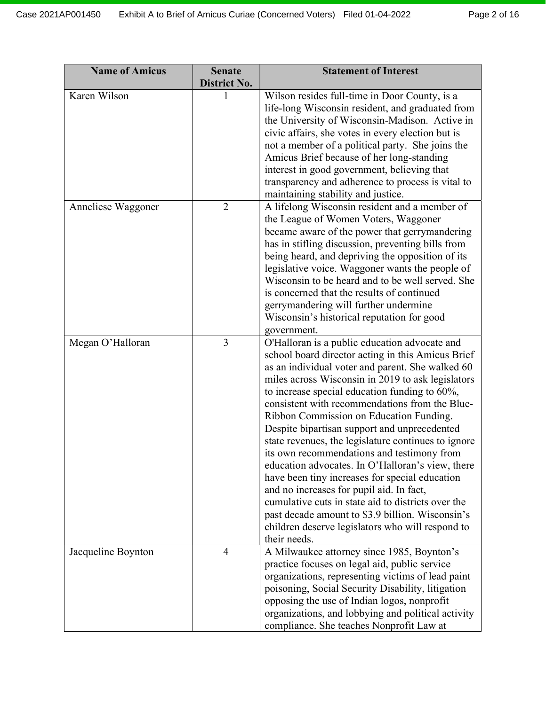| <b>Name of Amicus</b> | <b>Senate</b><br><b>District No.</b> | <b>Statement of Interest</b>                                                                                                                                                                                                                                                                                                                                                                                                                                                                                                                                                                                                                                                                                                                                                                                                                   |
|-----------------------|--------------------------------------|------------------------------------------------------------------------------------------------------------------------------------------------------------------------------------------------------------------------------------------------------------------------------------------------------------------------------------------------------------------------------------------------------------------------------------------------------------------------------------------------------------------------------------------------------------------------------------------------------------------------------------------------------------------------------------------------------------------------------------------------------------------------------------------------------------------------------------------------|
| Karen Wilson          | 1                                    | Wilson resides full-time in Door County, is a<br>life-long Wisconsin resident, and graduated from<br>the University of Wisconsin-Madison. Active in<br>civic affairs, she votes in every election but is<br>not a member of a political party. She joins the<br>Amicus Brief because of her long-standing<br>interest in good government, believing that<br>transparency and adherence to process is vital to<br>maintaining stability and justice.                                                                                                                                                                                                                                                                                                                                                                                            |
| Anneliese Waggoner    | $\overline{2}$                       | A lifelong Wisconsin resident and a member of<br>the League of Women Voters, Waggoner<br>became aware of the power that gerrymandering<br>has in stifling discussion, preventing bills from<br>being heard, and depriving the opposition of its<br>legislative voice. Waggoner wants the people of<br>Wisconsin to be heard and to be well served. She<br>is concerned that the results of continued<br>gerrymandering will further undermine<br>Wisconsin's historical reputation for good<br>government.                                                                                                                                                                                                                                                                                                                                     |
| Megan O'Halloran      | 3                                    | O'Halloran is a public education advocate and<br>school board director acting in this Amicus Brief<br>as an individual voter and parent. She walked 60<br>miles across Wisconsin in 2019 to ask legislators<br>to increase special education funding to 60%,<br>consistent with recommendations from the Blue-<br>Ribbon Commission on Education Funding.<br>Despite bipartisan support and unprecedented<br>state revenues, the legislature continues to ignore<br>its own recommendations and testimony from<br>education advocates. In O'Halloran's view, there<br>have been tiny increases for special education<br>and no increases for pupil aid. In fact,<br>cumulative cuts in state aid to districts over the<br>past decade amount to \$3.9 billion. Wisconsin's<br>children deserve legislators who will respond to<br>their needs. |
| Jacqueline Boynton    | $\overline{4}$                       | A Milwaukee attorney since 1985, Boynton's<br>practice focuses on legal aid, public service<br>organizations, representing victims of lead paint<br>poisoning, Social Security Disability, litigation<br>opposing the use of Indian logos, nonprofit<br>organizations, and lobbying and political activity<br>compliance. She teaches Nonprofit Law at                                                                                                                                                                                                                                                                                                                                                                                                                                                                                         |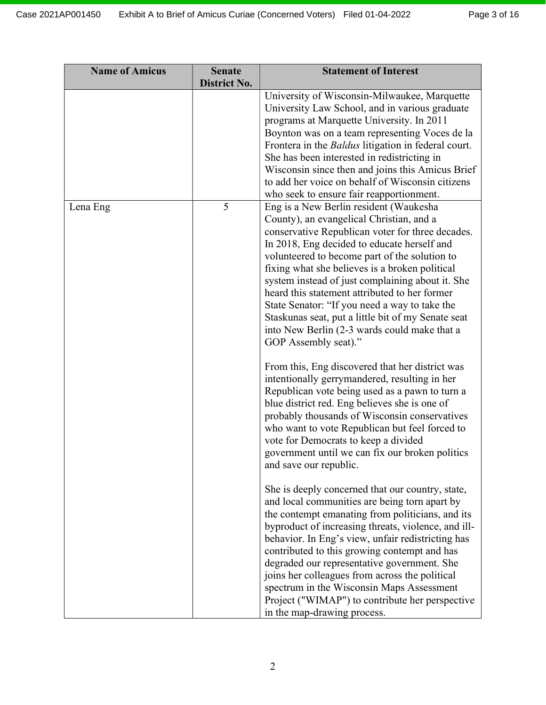| <b>Name of Amicus</b> | <b>Senate</b><br>District No. | <b>Statement of Interest</b>                                                                                                                                                                                                                                                                                                                                                                                                                                                                                                                                                 |
|-----------------------|-------------------------------|------------------------------------------------------------------------------------------------------------------------------------------------------------------------------------------------------------------------------------------------------------------------------------------------------------------------------------------------------------------------------------------------------------------------------------------------------------------------------------------------------------------------------------------------------------------------------|
|                       |                               | University of Wisconsin-Milwaukee, Marquette<br>University Law School, and in various graduate<br>programs at Marquette University. In 2011<br>Boynton was on a team representing Voces de la<br>Frontera in the <i>Baldus</i> litigation in federal court.<br>She has been interested in redistricting in<br>Wisconsin since then and joins this Amicus Brief<br>to add her voice on behalf of Wisconsin citizens<br>who seek to ensure fair reapportionment.                                                                                                               |
| Lena Eng              | 5                             | Eng is a New Berlin resident (Waukesha<br>County), an evangelical Christian, and a<br>conservative Republican voter for three decades.<br>In 2018, Eng decided to educate herself and<br>volunteered to become part of the solution to<br>fixing what she believes is a broken political<br>system instead of just complaining about it. She<br>heard this statement attributed to her former<br>State Senator: "If you need a way to take the<br>Staskunas seat, put a little bit of my Senate seat<br>into New Berlin (2-3 wards could make that a<br>GOP Assembly seat)." |
|                       |                               | From this, Eng discovered that her district was<br>intentionally gerrymandered, resulting in her<br>Republican vote being used as a pawn to turn a<br>blue district red. Eng believes she is one of<br>probably thousands of Wisconsin conservatives<br>who want to vote Republican but feel forced to<br>vote for Democrats to keep a divided<br>government until we can fix our broken politics<br>and save our republic.                                                                                                                                                  |
|                       |                               | She is deeply concerned that our country, state,<br>and local communities are being torn apart by<br>the contempt emanating from politicians, and its<br>byproduct of increasing threats, violence, and ill-<br>behavior. In Eng's view, unfair redistricting has<br>contributed to this growing contempt and has<br>degraded our representative government. She<br>joins her colleagues from across the political<br>spectrum in the Wisconsin Maps Assessment<br>Project ("WIMAP") to contribute her perspective<br>in the map-drawing process.                            |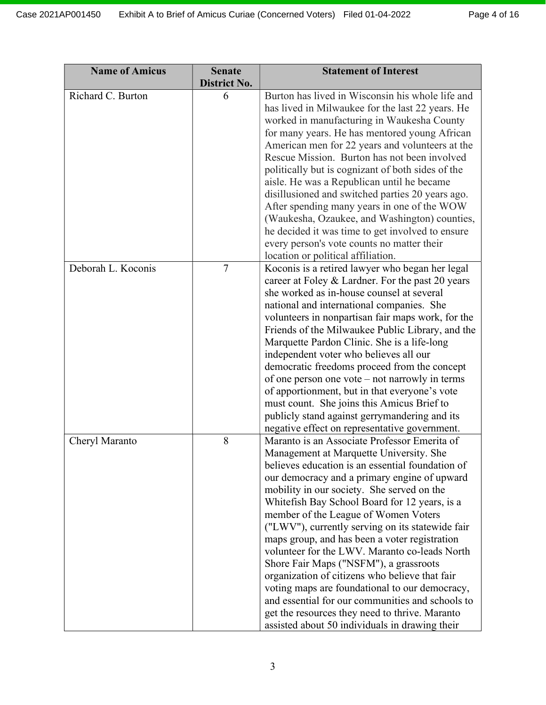| <b>Name of Amicus</b> | <b>Senate</b><br>District No. | <b>Statement of Interest</b>                                                                                                                                                                                                                                                                                                                                                                                                                                                                                                                                                                                                                                                                                                                                                                   |
|-----------------------|-------------------------------|------------------------------------------------------------------------------------------------------------------------------------------------------------------------------------------------------------------------------------------------------------------------------------------------------------------------------------------------------------------------------------------------------------------------------------------------------------------------------------------------------------------------------------------------------------------------------------------------------------------------------------------------------------------------------------------------------------------------------------------------------------------------------------------------|
| Richard C. Burton     | 6                             | Burton has lived in Wisconsin his whole life and<br>has lived in Milwaukee for the last 22 years. He<br>worked in manufacturing in Waukesha County<br>for many years. He has mentored young African<br>American men for 22 years and volunteers at the<br>Rescue Mission. Burton has not been involved<br>politically but is cognizant of both sides of the<br>aisle. He was a Republican until he became<br>disillusioned and switched parties 20 years ago.<br>After spending many years in one of the WOW<br>(Waukesha, Ozaukee, and Washington) counties,<br>he decided it was time to get involved to ensure<br>every person's vote counts no matter their<br>location or political affiliation.                                                                                          |
| Deborah L. Koconis    | $\overline{7}$                | Koconis is a retired lawyer who began her legal<br>career at Foley & Lardner. For the past 20 years<br>she worked as in-house counsel at several<br>national and international companies. She<br>volunteers in nonpartisan fair maps work, for the<br>Friends of the Milwaukee Public Library, and the<br>Marquette Pardon Clinic. She is a life-long<br>independent voter who believes all our<br>democratic freedoms proceed from the concept<br>of one person one vote – not narrowly in terms<br>of apportionment, but in that everyone's vote<br>must count. She joins this Amicus Brief to<br>publicly stand against gerrymandering and its<br>negative effect on representative government.                                                                                             |
| Cheryl Maranto        | 8                             | Maranto is an Associate Professor Emerita of<br>Management at Marquette University. She<br>believes education is an essential foundation of<br>our democracy and a primary engine of upward<br>mobility in our society. She served on the<br>Whitefish Bay School Board for 12 years, is a<br>member of the League of Women Voters<br>("LWV"), currently serving on its statewide fair<br>maps group, and has been a voter registration<br>volunteer for the LWV. Maranto co-leads North<br>Shore Fair Maps ("NSFM"), a grassroots<br>organization of citizens who believe that fair<br>voting maps are foundational to our democracy,<br>and essential for our communities and schools to<br>get the resources they need to thrive. Maranto<br>assisted about 50 individuals in drawing their |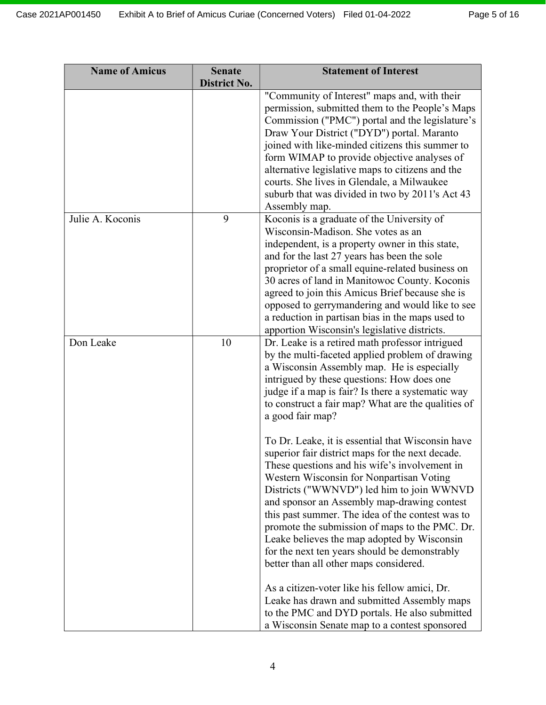| <b>Name of Amicus</b> | <b>Senate</b><br><b>District No.</b> | <b>Statement of Interest</b>                                                                                                                                                                                                                                                                                                                                                                                                                                                                                                                                                                                                                                                                                                                                                                                                                                                                                                                                                                                                                                                      |
|-----------------------|--------------------------------------|-----------------------------------------------------------------------------------------------------------------------------------------------------------------------------------------------------------------------------------------------------------------------------------------------------------------------------------------------------------------------------------------------------------------------------------------------------------------------------------------------------------------------------------------------------------------------------------------------------------------------------------------------------------------------------------------------------------------------------------------------------------------------------------------------------------------------------------------------------------------------------------------------------------------------------------------------------------------------------------------------------------------------------------------------------------------------------------|
|                       |                                      | "Community of Interest" maps and, with their<br>permission, submitted them to the People's Maps<br>Commission ("PMC") portal and the legislature's<br>Draw Your District ("DYD") portal. Maranto<br>joined with like-minded citizens this summer to<br>form WIMAP to provide objective analyses of<br>alternative legislative maps to citizens and the<br>courts. She lives in Glendale, a Milwaukee<br>suburb that was divided in two by 2011's Act 43<br>Assembly map.                                                                                                                                                                                                                                                                                                                                                                                                                                                                                                                                                                                                          |
| Julie A. Koconis      | 9                                    | Koconis is a graduate of the University of<br>Wisconsin-Madison. She votes as an<br>independent, is a property owner in this state,<br>and for the last 27 years has been the sole<br>proprietor of a small equine-related business on<br>30 acres of land in Manitowoc County. Koconis<br>agreed to join this Amicus Brief because she is<br>opposed to gerrymandering and would like to see<br>a reduction in partisan bias in the maps used to<br>apportion Wisconsin's legislative districts.                                                                                                                                                                                                                                                                                                                                                                                                                                                                                                                                                                                 |
| Don Leake             | 10                                   | Dr. Leake is a retired math professor intrigued<br>by the multi-faceted applied problem of drawing<br>a Wisconsin Assembly map. He is especially<br>intrigued by these questions: How does one<br>judge if a map is fair? Is there a systematic way<br>to construct a fair map? What are the qualities of<br>a good fair map?<br>To Dr. Leake, it is essential that Wisconsin have<br>superior fair district maps for the next decade.<br>These questions and his wife's involvement in<br>Western Wisconsin for Nonpartisan Voting<br>Districts ("WWNVD") led him to join WWNVD<br>and sponsor an Assembly map-drawing contest<br>this past summer. The idea of the contest was to<br>promote the submission of maps to the PMC. Dr.<br>Leake believes the map adopted by Wisconsin<br>for the next ten years should be demonstrably<br>better than all other maps considered.<br>As a citizen-voter like his fellow amici, Dr.<br>Leake has drawn and submitted Assembly maps<br>to the PMC and DYD portals. He also submitted<br>a Wisconsin Senate map to a contest sponsored |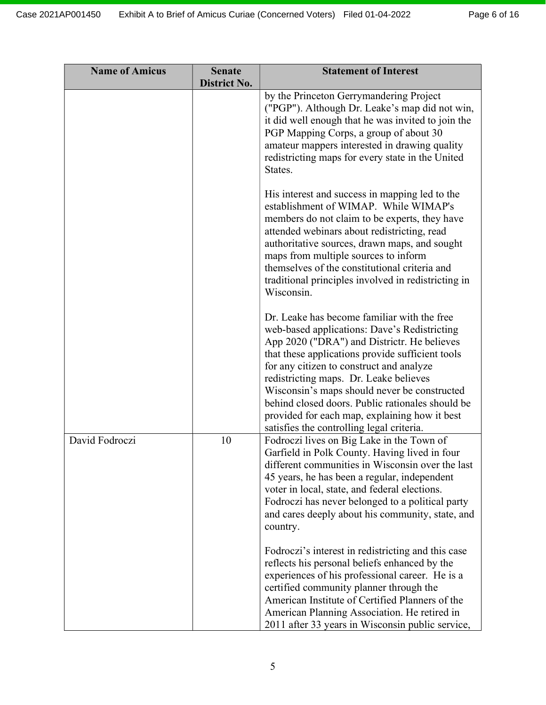| <b>Name of Amicus</b> | <b>Senate</b><br><b>District No.</b> | <b>Statement of Interest</b>                                                                                                                                                                                                                                                                                                                                                                                                                                                           |
|-----------------------|--------------------------------------|----------------------------------------------------------------------------------------------------------------------------------------------------------------------------------------------------------------------------------------------------------------------------------------------------------------------------------------------------------------------------------------------------------------------------------------------------------------------------------------|
|                       |                                      | by the Princeton Gerrymandering Project<br>("PGP"). Although Dr. Leake's map did not win,<br>it did well enough that he was invited to join the<br>PGP Mapping Corps, a group of about 30<br>amateur mappers interested in drawing quality<br>redistricting maps for every state in the United<br>States.                                                                                                                                                                              |
|                       |                                      | His interest and success in mapping led to the<br>establishment of WIMAP. While WIMAP's<br>members do not claim to be experts, they have<br>attended webinars about redistricting, read<br>authoritative sources, drawn maps, and sought<br>maps from multiple sources to inform<br>themselves of the constitutional criteria and<br>traditional principles involved in redistricting in<br>Wisconsin.                                                                                 |
|                       |                                      | Dr. Leake has become familiar with the free<br>web-based applications: Dave's Redistricting<br>App 2020 ("DRA") and Districtr. He believes<br>that these applications provide sufficient tools<br>for any citizen to construct and analyze<br>redistricting maps. Dr. Leake believes<br>Wisconsin's maps should never be constructed<br>behind closed doors. Public rationales should be<br>provided for each map, explaining how it best<br>satisfies the controlling legal criteria. |
| David Fodroczi        | 10                                   | Fodroczi lives on Big Lake in the Town of<br>Garfield in Polk County. Having lived in four<br>different communities in Wisconsin over the last<br>45 years, he has been a regular, independent<br>voter in local, state, and federal elections.<br>Fodroczi has never belonged to a political party<br>and cares deeply about his community, state, and<br>country.                                                                                                                    |
|                       |                                      | Fodroczi's interest in redistricting and this case<br>reflects his personal beliefs enhanced by the<br>experiences of his professional career. He is a<br>certified community planner through the<br>American Institute of Certified Planners of the<br>American Planning Association. He retired in<br>2011 after 33 years in Wisconsin public service,                                                                                                                               |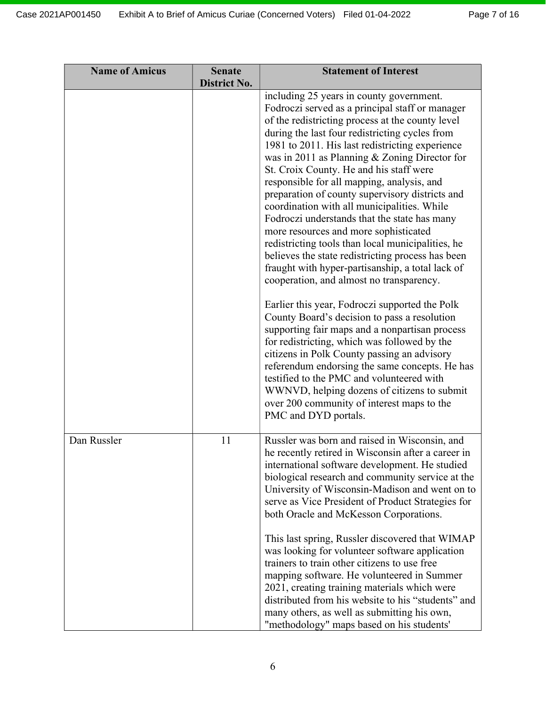| <b>Name of Amicus</b> | <b>Senate</b><br>District No. | <b>Statement of Interest</b>                                                                                                                                                                                                                                                                                                                                                                                                                                                                                                                                                                                                                                                                                                                                                                                                                                                                                                                                                                                                                                                                                                                                                                                                                                               |
|-----------------------|-------------------------------|----------------------------------------------------------------------------------------------------------------------------------------------------------------------------------------------------------------------------------------------------------------------------------------------------------------------------------------------------------------------------------------------------------------------------------------------------------------------------------------------------------------------------------------------------------------------------------------------------------------------------------------------------------------------------------------------------------------------------------------------------------------------------------------------------------------------------------------------------------------------------------------------------------------------------------------------------------------------------------------------------------------------------------------------------------------------------------------------------------------------------------------------------------------------------------------------------------------------------------------------------------------------------|
|                       |                               | including 25 years in county government.<br>Fodroczi served as a principal staff or manager<br>of the redistricting process at the county level<br>during the last four redistricting cycles from<br>1981 to 2011. His last redistricting experience<br>was in 2011 as Planning & Zoning Director for<br>St. Croix County. He and his staff were<br>responsible for all mapping, analysis, and<br>preparation of county supervisory districts and<br>coordination with all municipalities. While<br>Fodroczi understands that the state has many<br>more resources and more sophisticated<br>redistricting tools than local municipalities, he<br>believes the state redistricting process has been<br>fraught with hyper-partisanship, a total lack of<br>cooperation, and almost no transparency.<br>Earlier this year, Fodroczi supported the Polk<br>County Board's decision to pass a resolution<br>supporting fair maps and a nonpartisan process<br>for redistricting, which was followed by the<br>citizens in Polk County passing an advisory<br>referendum endorsing the same concepts. He has<br>testified to the PMC and volunteered with<br>WWNVD, helping dozens of citizens to submit<br>over 200 community of interest maps to the<br>PMC and DYD portals. |
| Dan Russler           | 11                            | Russler was born and raised in Wisconsin, and<br>he recently retired in Wisconsin after a career in<br>international software development. He studied<br>biological research and community service at the<br>University of Wisconsin-Madison and went on to<br>serve as Vice President of Product Strategies for<br>both Oracle and McKesson Corporations.                                                                                                                                                                                                                                                                                                                                                                                                                                                                                                                                                                                                                                                                                                                                                                                                                                                                                                                 |
|                       |                               | This last spring, Russler discovered that WIMAP<br>was looking for volunteer software application<br>trainers to train other citizens to use free<br>mapping software. He volunteered in Summer<br>2021, creating training materials which were<br>distributed from his website to his "students" and<br>many others, as well as submitting his own,<br>"methodology" maps based on his students'                                                                                                                                                                                                                                                                                                                                                                                                                                                                                                                                                                                                                                                                                                                                                                                                                                                                          |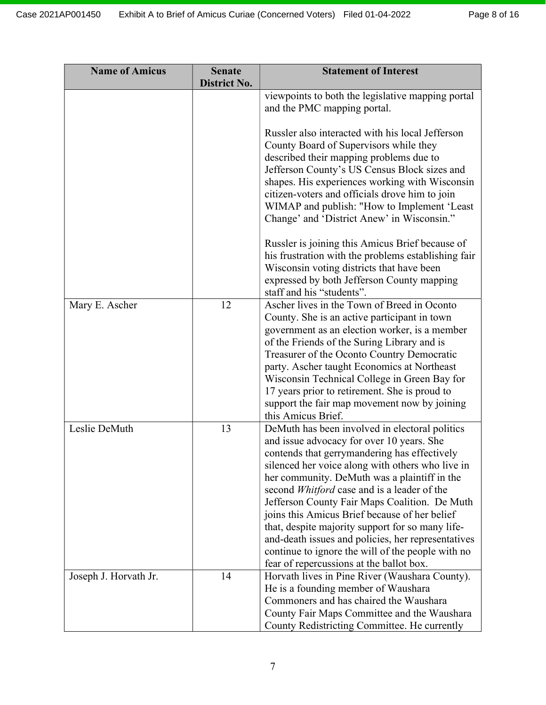| <b>Name of Amicus</b> | <b>Senate</b><br><b>District No.</b> | <b>Statement of Interest</b>                                                                                                                                                                                                                                                                                                                                                                                                                                                                                                                                                                                |
|-----------------------|--------------------------------------|-------------------------------------------------------------------------------------------------------------------------------------------------------------------------------------------------------------------------------------------------------------------------------------------------------------------------------------------------------------------------------------------------------------------------------------------------------------------------------------------------------------------------------------------------------------------------------------------------------------|
|                       |                                      | viewpoints to both the legislative mapping portal<br>and the PMC mapping portal.                                                                                                                                                                                                                                                                                                                                                                                                                                                                                                                            |
|                       |                                      | Russler also interacted with his local Jefferson<br>County Board of Supervisors while they<br>described their mapping problems due to<br>Jefferson County's US Census Block sizes and<br>shapes. His experiences working with Wisconsin<br>citizen-voters and officials drove him to join<br>WIMAP and publish: "How to Implement 'Least<br>Change' and 'District Anew' in Wisconsin."                                                                                                                                                                                                                      |
|                       |                                      | Russler is joining this Amicus Brief because of<br>his frustration with the problems establishing fair<br>Wisconsin voting districts that have been<br>expressed by both Jefferson County mapping<br>staff and his "students".                                                                                                                                                                                                                                                                                                                                                                              |
| Mary E. Ascher        | 12                                   | Ascher lives in the Town of Breed in Oconto<br>County. She is an active participant in town<br>government as an election worker, is a member<br>of the Friends of the Suring Library and is<br>Treasurer of the Oconto Country Democratic<br>party. Ascher taught Economics at Northeast<br>Wisconsin Technical College in Green Bay for<br>17 years prior to retirement. She is proud to<br>support the fair map movement now by joining<br>this Amicus Brief.                                                                                                                                             |
| Leslie DeMuth         | 13                                   | DeMuth has been involved in electoral politics<br>and issue advocacy for over 10 years. She<br>contends that gerrymandering has effectively<br>silenced her voice along with others who live in<br>her community. DeMuth was a plaintiff in the<br>second Whitford case and is a leader of the<br>Jefferson County Fair Maps Coalition. De Muth<br>joins this Amicus Brief because of her belief<br>that, despite majority support for so many life-<br>and-death issues and policies, her representatives<br>continue to ignore the will of the people with no<br>fear of repercussions at the ballot box. |
| Joseph J. Horvath Jr. | 14                                   | Horvath lives in Pine River (Waushara County).<br>He is a founding member of Waushara<br>Commoners and has chaired the Waushara<br>County Fair Maps Committee and the Waushara<br>County Redistricting Committee. He currently                                                                                                                                                                                                                                                                                                                                                                              |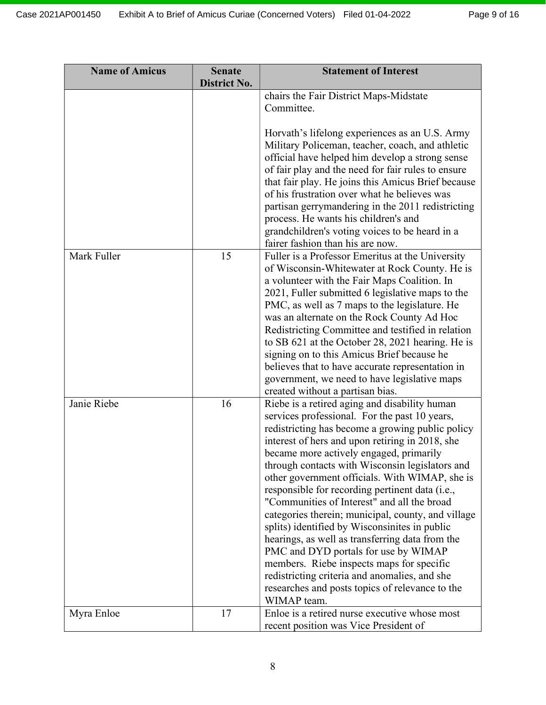| <b>Name of Amicus</b> | <b>Senate</b>       | <b>Statement of Interest</b>                                                                   |
|-----------------------|---------------------|------------------------------------------------------------------------------------------------|
|                       | <b>District No.</b> |                                                                                                |
|                       |                     | chairs the Fair District Maps-Midstate<br>Committee.                                           |
|                       |                     |                                                                                                |
|                       |                     | Horvath's lifelong experiences as an U.S. Army                                                 |
|                       |                     | Military Policeman, teacher, coach, and athletic                                               |
|                       |                     | official have helped him develop a strong sense                                                |
|                       |                     | of fair play and the need for fair rules to ensure                                             |
|                       |                     | that fair play. He joins this Amicus Brief because                                             |
|                       |                     | of his frustration over what he believes was                                                   |
|                       |                     | partisan gerrymandering in the 2011 redistricting                                              |
|                       |                     | process. He wants his children's and                                                           |
|                       |                     | grandchildren's voting voices to be heard in a                                                 |
|                       |                     | fairer fashion than his are now.                                                               |
| Mark Fuller           | 15                  | Fuller is a Professor Emeritus at the University                                               |
|                       |                     | of Wisconsin-Whitewater at Rock County. He is                                                  |
|                       |                     | a volunteer with the Fair Maps Coalition. In                                                   |
|                       |                     | 2021, Fuller submitted 6 legislative maps to the                                               |
|                       |                     | PMC, as well as 7 maps to the legislature. He                                                  |
|                       |                     | was an alternate on the Rock County Ad Hoc                                                     |
|                       |                     | Redistricting Committee and testified in relation                                              |
|                       |                     | to SB 621 at the October 28, 2021 hearing. He is                                               |
|                       |                     | signing on to this Amicus Brief because he                                                     |
|                       |                     | believes that to have accurate representation in                                               |
|                       |                     | government, we need to have legislative maps                                                   |
| Janie Riebe           | 16                  | created without a partisan bias.                                                               |
|                       |                     | Riebe is a retired aging and disability human<br>services professional. For the past 10 years, |
|                       |                     | redistricting has become a growing public policy                                               |
|                       |                     | interest of hers and upon retiring in 2018, she                                                |
|                       |                     | became more actively engaged, primarily                                                        |
|                       |                     | through contacts with Wisconsin legislators and                                                |
|                       |                     | other government officials. With WIMAP, she is                                                 |
|                       |                     | responsible for recording pertinent data (i.e.,                                                |
|                       |                     | "Communities of Interest" and all the broad                                                    |
|                       |                     | categories therein; municipal, county, and village                                             |
|                       |                     | splits) identified by Wisconsinites in public                                                  |
|                       |                     | hearings, as well as transferring data from the                                                |
|                       |                     | PMC and DYD portals for use by WIMAP                                                           |
|                       |                     | members. Riebe inspects maps for specific                                                      |
|                       |                     | redistricting criteria and anomalies, and she                                                  |
|                       |                     | researches and posts topics of relevance to the                                                |
|                       |                     | WIMAP team.                                                                                    |
| Myra Enloe            | 17                  | Enloe is a retired nurse executive whose most                                                  |
|                       |                     | recent position was Vice President of                                                          |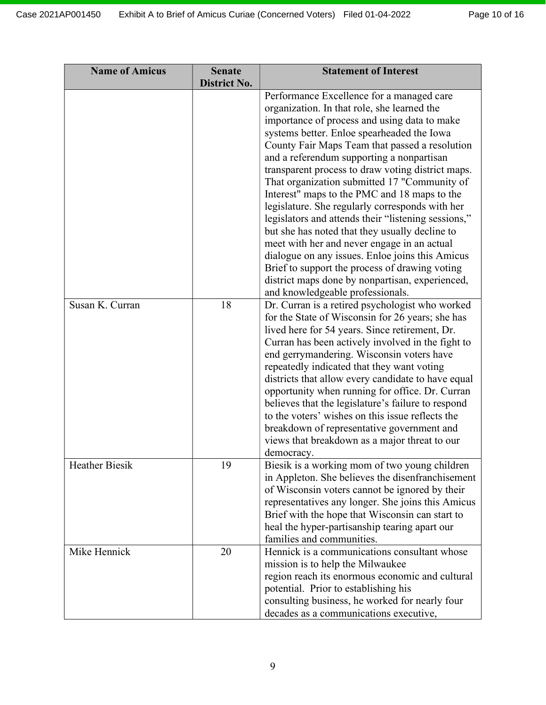| <b>Name of Amicus</b> | <b>Senate</b>       | <b>Statement of Interest</b>                                                                                                                                                                                                                                                                                                                                                                                                                                                                                                                                                                                                                                                                                                                                                                                  |
|-----------------------|---------------------|---------------------------------------------------------------------------------------------------------------------------------------------------------------------------------------------------------------------------------------------------------------------------------------------------------------------------------------------------------------------------------------------------------------------------------------------------------------------------------------------------------------------------------------------------------------------------------------------------------------------------------------------------------------------------------------------------------------------------------------------------------------------------------------------------------------|
|                       | <b>District No.</b> | Performance Excellence for a managed care<br>organization. In that role, she learned the<br>importance of process and using data to make<br>systems better. Enloe spearheaded the Iowa<br>County Fair Maps Team that passed a resolution<br>and a referendum supporting a nonpartisan<br>transparent process to draw voting district maps.<br>That organization submitted 17 "Community of<br>Interest" maps to the PMC and 18 maps to the<br>legislature. She regularly corresponds with her<br>legislators and attends their "listening sessions,"<br>but she has noted that they usually decline to<br>meet with her and never engage in an actual<br>dialogue on any issues. Enloe joins this Amicus<br>Brief to support the process of drawing voting<br>district maps done by nonpartisan, experienced, |
| Susan K. Curran       | 18                  | and knowledgeable professionals.<br>Dr. Curran is a retired psychologist who worked<br>for the State of Wisconsin for 26 years; she has<br>lived here for 54 years. Since retirement, Dr.<br>Curran has been actively involved in the fight to<br>end gerrymandering. Wisconsin voters have<br>repeatedly indicated that they want voting<br>districts that allow every candidate to have equal<br>opportunity when running for office. Dr. Curran<br>believes that the legislature's failure to respond<br>to the voters' wishes on this issue reflects the<br>breakdown of representative government and<br>views that breakdown as a major threat to our<br>democracy.                                                                                                                                     |
| <b>Heather Biesik</b> | 19                  | Biesik is a working mom of two young children<br>in Appleton. She believes the disenfranchisement<br>of Wisconsin voters cannot be ignored by their<br>representatives any longer. She joins this Amicus<br>Brief with the hope that Wisconsin can start to<br>heal the hyper-partisanship tearing apart our<br>families and communities.                                                                                                                                                                                                                                                                                                                                                                                                                                                                     |
| Mike Hennick          | 20                  | Hennick is a communications consultant whose<br>mission is to help the Milwaukee<br>region reach its enormous economic and cultural<br>potential. Prior to establishing his<br>consulting business, he worked for nearly four<br>decades as a communications executive,                                                                                                                                                                                                                                                                                                                                                                                                                                                                                                                                       |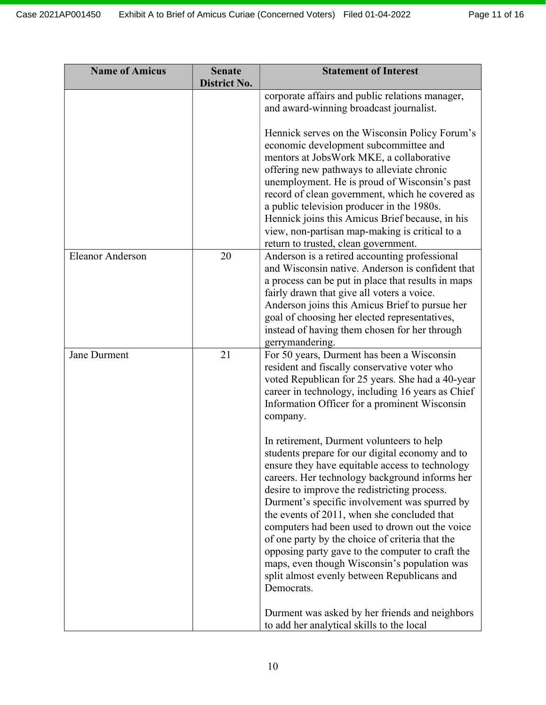| <b>Name of Amicus</b>   | <b>Senate</b><br><b>District No.</b> | <b>Statement of Interest</b>                                                                          |
|-------------------------|--------------------------------------|-------------------------------------------------------------------------------------------------------|
|                         |                                      | corporate affairs and public relations manager,                                                       |
|                         |                                      | and award-winning broadcast journalist.                                                               |
|                         |                                      | Hennick serves on the Wisconsin Policy Forum's                                                        |
|                         |                                      | economic development subcommittee and                                                                 |
|                         |                                      | mentors at JobsWork MKE, a collaborative                                                              |
|                         |                                      | offering new pathways to alleviate chronic                                                            |
|                         |                                      | unemployment. He is proud of Wisconsin's past                                                         |
|                         |                                      | record of clean government, which he covered as                                                       |
|                         |                                      | a public television producer in the 1980s.<br>Hennick joins this Amicus Brief because, in his         |
|                         |                                      | view, non-partisan map-making is critical to a                                                        |
|                         |                                      | return to trusted, clean government.                                                                  |
| <b>Eleanor Anderson</b> | 20                                   | Anderson is a retired accounting professional                                                         |
|                         |                                      | and Wisconsin native. Anderson is confident that                                                      |
|                         |                                      | a process can be put in place that results in maps                                                    |
|                         |                                      | fairly drawn that give all voters a voice.                                                            |
|                         |                                      | Anderson joins this Amicus Brief to pursue her                                                        |
|                         |                                      | goal of choosing her elected representatives,                                                         |
|                         |                                      | instead of having them chosen for her through                                                         |
|                         |                                      | gerrymandering.                                                                                       |
| Jane Durment            | 21                                   | For 50 years, Durment has been a Wisconsin                                                            |
|                         |                                      | resident and fiscally conservative voter who                                                          |
|                         |                                      | voted Republican for 25 years. She had a 40-year<br>career in technology, including 16 years as Chief |
|                         |                                      | Information Officer for a prominent Wisconsin                                                         |
|                         |                                      | company.                                                                                              |
|                         |                                      |                                                                                                       |
|                         |                                      | In retirement, Durment volunteers to help                                                             |
|                         |                                      | students prepare for our digital economy and to                                                       |
|                         |                                      | ensure they have equitable access to technology                                                       |
|                         |                                      | careers. Her technology background informs her                                                        |
|                         |                                      | desire to improve the redistricting process.                                                          |
|                         |                                      | Durment's specific involvement was spurred by                                                         |
|                         |                                      | the events of 2011, when she concluded that                                                           |
|                         |                                      | computers had been used to drown out the voice<br>of one party by the choice of criteria that the     |
|                         |                                      | opposing party gave to the computer to craft the                                                      |
|                         |                                      | maps, even though Wisconsin's population was                                                          |
|                         |                                      | split almost evenly between Republicans and                                                           |
|                         |                                      | Democrats.                                                                                            |
|                         |                                      |                                                                                                       |
|                         |                                      | Durment was asked by her friends and neighbors                                                        |
|                         |                                      | to add her analytical skills to the local                                                             |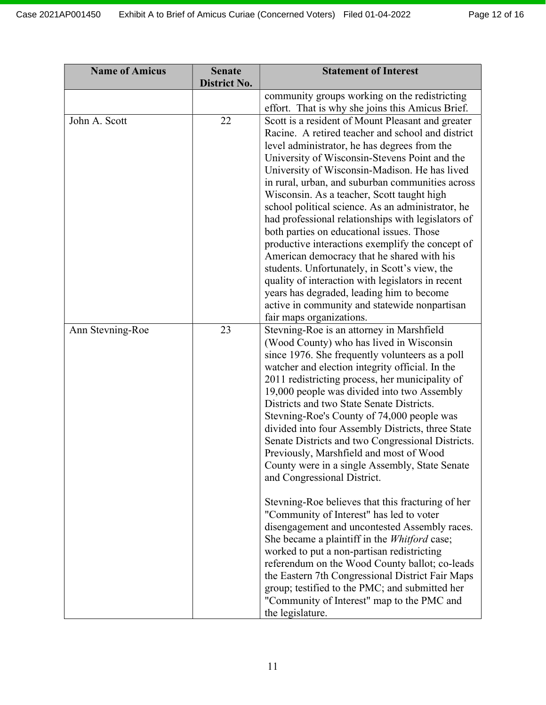| <b>Name of Amicus</b> | <b>Senate</b><br><b>District No.</b> | <b>Statement of Interest</b>                                                                                                                                                                                                                                                                                                                                                                                                                                                                                                                                                                                                                                                                                                                                                                                                                                                                                                                                                                                                                                                                                    |
|-----------------------|--------------------------------------|-----------------------------------------------------------------------------------------------------------------------------------------------------------------------------------------------------------------------------------------------------------------------------------------------------------------------------------------------------------------------------------------------------------------------------------------------------------------------------------------------------------------------------------------------------------------------------------------------------------------------------------------------------------------------------------------------------------------------------------------------------------------------------------------------------------------------------------------------------------------------------------------------------------------------------------------------------------------------------------------------------------------------------------------------------------------------------------------------------------------|
|                       |                                      | community groups working on the redistricting<br>effort. That is why she joins this Amicus Brief.                                                                                                                                                                                                                                                                                                                                                                                                                                                                                                                                                                                                                                                                                                                                                                                                                                                                                                                                                                                                               |
| John A. Scott         | 22                                   | Scott is a resident of Mount Pleasant and greater<br>Racine. A retired teacher and school and district<br>level administrator, he has degrees from the<br>University of Wisconsin-Stevens Point and the<br>University of Wisconsin-Madison. He has lived<br>in rural, urban, and suburban communities across<br>Wisconsin. As a teacher, Scott taught high<br>school political science. As an administrator, he<br>had professional relationships with legislators of<br>both parties on educational issues. Those<br>productive interactions exemplify the concept of<br>American democracy that he shared with his<br>students. Unfortunately, in Scott's view, the<br>quality of interaction with legislators in recent<br>years has degraded, leading him to become<br>active in community and statewide nonpartisan<br>fair maps organizations.                                                                                                                                                                                                                                                            |
| Ann Stevning-Roe      | 23                                   | Stevning-Roe is an attorney in Marshfield<br>(Wood County) who has lived in Wisconsin<br>since 1976. She frequently volunteers as a poll<br>watcher and election integrity official. In the<br>2011 redistricting process, her municipality of<br>19,000 people was divided into two Assembly<br>Districts and two State Senate Districts.<br>Stevning-Roe's County of 74,000 people was<br>divided into four Assembly Districts, three State<br>Senate Districts and two Congressional Districts.<br>Previously, Marshfield and most of Wood<br>County were in a single Assembly, State Senate<br>and Congressional District.<br>Stevning-Roe believes that this fracturing of her<br>"Community of Interest" has led to voter<br>disengagement and uncontested Assembly races.<br>She became a plaintiff in the <i>Whitford</i> case;<br>worked to put a non-partisan redistricting<br>referendum on the Wood County ballot; co-leads<br>the Eastern 7th Congressional District Fair Maps<br>group; testified to the PMC; and submitted her<br>"Community of Interest" map to the PMC and<br>the legislature. |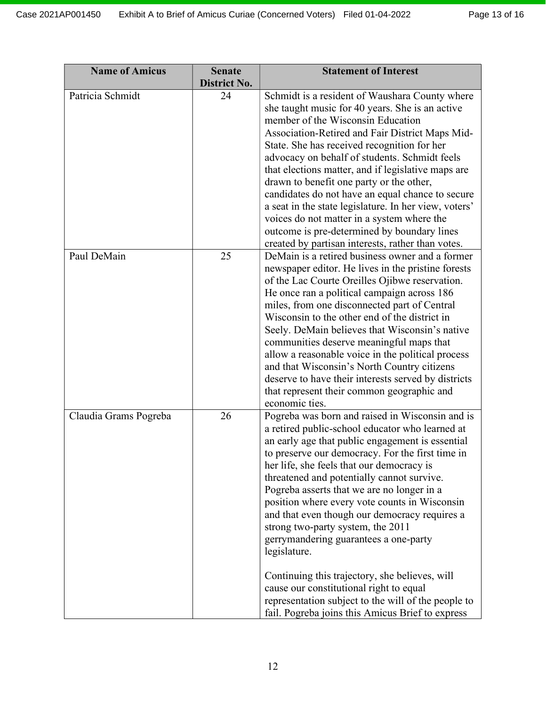| <b>Name of Amicus</b> | <b>Senate</b><br><b>District No.</b> | <b>Statement of Interest</b>                                                                                                                                                                                                                                                                                                                                                                                                                                                                                                                                                                                                                                                                                                                                |
|-----------------------|--------------------------------------|-------------------------------------------------------------------------------------------------------------------------------------------------------------------------------------------------------------------------------------------------------------------------------------------------------------------------------------------------------------------------------------------------------------------------------------------------------------------------------------------------------------------------------------------------------------------------------------------------------------------------------------------------------------------------------------------------------------------------------------------------------------|
| Patricia Schmidt      | 24                                   | Schmidt is a resident of Waushara County where<br>she taught music for 40 years. She is an active<br>member of the Wisconsin Education<br>Association-Retired and Fair District Maps Mid-<br>State. She has received recognition for her<br>advocacy on behalf of students. Schmidt feels<br>that elections matter, and if legislative maps are<br>drawn to benefit one party or the other,<br>candidates do not have an equal chance to secure<br>a seat in the state legislature. In her view, voters'<br>voices do not matter in a system where the<br>outcome is pre-determined by boundary lines<br>created by partisan interests, rather than votes.                                                                                                  |
| Paul DeMain           | 25                                   | DeMain is a retired business owner and a former<br>newspaper editor. He lives in the pristine forests<br>of the Lac Courte Oreilles Ojibwe reservation.<br>He once ran a political campaign across 186<br>miles, from one disconnected part of Central<br>Wisconsin to the other end of the district in<br>Seely. DeMain believes that Wisconsin's native<br>communities deserve meaningful maps that<br>allow a reasonable voice in the political process<br>and that Wisconsin's North Country citizens<br>deserve to have their interests served by districts<br>that represent their common geographic and<br>economic ties.                                                                                                                            |
| Claudia Grams Pogreba | 26                                   | Pogreba was born and raised in Wisconsin and is<br>a retired public-school educator who learned at<br>an early age that public engagement is essential<br>to preserve our democracy. For the first time in<br>her life, she feels that our democracy is<br>threatened and potentially cannot survive.<br>Pogreba asserts that we are no longer in a<br>position where every vote counts in Wisconsin<br>and that even though our democracy requires a<br>strong two-party system, the 2011<br>gerrymandering guarantees a one-party<br>legislature.<br>Continuing this trajectory, she believes, will<br>cause our constitutional right to equal<br>representation subject to the will of the people to<br>fail. Pogreba joins this Amicus Brief to express |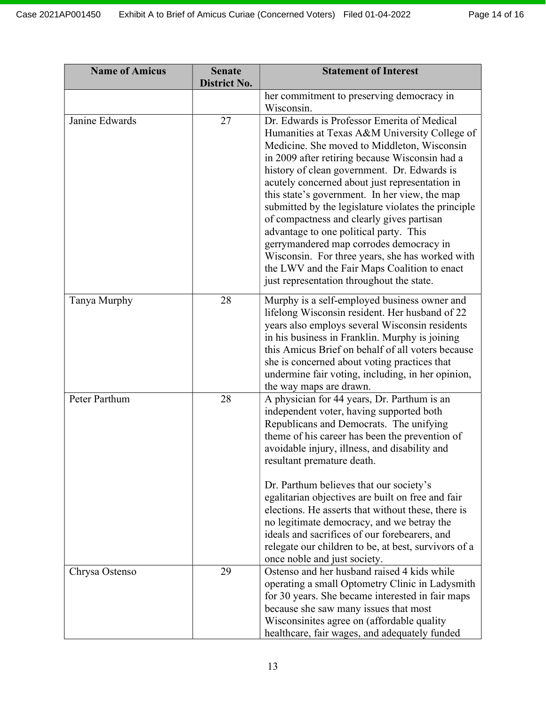| <b>Name of Amicus</b> | <b>Senate</b><br><b>District No.</b> | <b>Statement of Interest</b>                                                                                                                                                                                                                                                                                                                                                                                                                                                                                                                                                                                                                                                             |
|-----------------------|--------------------------------------|------------------------------------------------------------------------------------------------------------------------------------------------------------------------------------------------------------------------------------------------------------------------------------------------------------------------------------------------------------------------------------------------------------------------------------------------------------------------------------------------------------------------------------------------------------------------------------------------------------------------------------------------------------------------------------------|
|                       |                                      | her commitment to preserving democracy in<br>Wisconsin.                                                                                                                                                                                                                                                                                                                                                                                                                                                                                                                                                                                                                                  |
| Janine Edwards        | 27                                   | Dr. Edwards is Professor Emerita of Medical<br>Humanities at Texas A&M University College of<br>Medicine. She moved to Middleton, Wisconsin<br>in 2009 after retiring because Wisconsin had a<br>history of clean government. Dr. Edwards is<br>acutely concerned about just representation in<br>this state's government. In her view, the map<br>submitted by the legislature violates the principle<br>of compactness and clearly gives partisan<br>advantage to one political party. This<br>gerrymandered map corrodes democracy in<br>Wisconsin. For three years, she has worked with<br>the LWV and the Fair Maps Coalition to enact<br>just representation throughout the state. |
| Tanya Murphy          | 28                                   | Murphy is a self-employed business owner and<br>lifelong Wisconsin resident. Her husband of 22<br>years also employs several Wisconsin residents<br>in his business in Franklin. Murphy is joining<br>this Amicus Brief on behalf of all voters because<br>she is concerned about voting practices that<br>undermine fair voting, including, in her opinion,<br>the way maps are drawn.                                                                                                                                                                                                                                                                                                  |
| Peter Parthum         | 28                                   | A physician for 44 years, Dr. Parthum is an<br>independent voter, having supported both<br>Republicans and Democrats. The unifying<br>theme of his career has been the prevention of<br>avoidable injury, illness, and disability and<br>resultant premature death.<br>Dr. Parthum believes that our society's<br>egalitarian objectives are built on free and fair<br>elections. He asserts that without these, there is<br>no legitimate democracy, and we betray the<br>ideals and sacrifices of our forebearers, and<br>relegate our children to be, at best, survivors of a<br>once noble and just society.                                                                         |
| Chrysa Ostenso        | 29                                   | Ostenso and her husband raised 4 kids while<br>operating a small Optometry Clinic in Ladysmith<br>for 30 years. She became interested in fair maps<br>because she saw many issues that most<br>Wisconsinites agree on (affordable quality)<br>healthcare, fair wages, and adequately funded                                                                                                                                                                                                                                                                                                                                                                                              |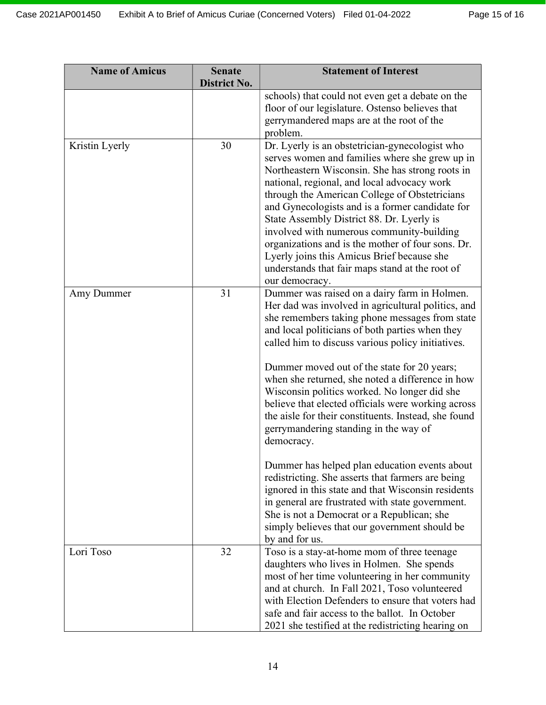| <b>Name of Amicus</b> | <b>Senate</b><br><b>District No.</b> | <b>Statement of Interest</b>                                                                                                                                                                                                                                                                                                                                                                                                                                                                                                                                                         |
|-----------------------|--------------------------------------|--------------------------------------------------------------------------------------------------------------------------------------------------------------------------------------------------------------------------------------------------------------------------------------------------------------------------------------------------------------------------------------------------------------------------------------------------------------------------------------------------------------------------------------------------------------------------------------|
|                       |                                      | schools) that could not even get a debate on the                                                                                                                                                                                                                                                                                                                                                                                                                                                                                                                                     |
|                       |                                      | floor of our legislature. Ostenso believes that                                                                                                                                                                                                                                                                                                                                                                                                                                                                                                                                      |
|                       |                                      | gerrymandered maps are at the root of the<br>problem.                                                                                                                                                                                                                                                                                                                                                                                                                                                                                                                                |
| Kristin Lyerly        | 30                                   | Dr. Lyerly is an obstetrician-gynecologist who<br>serves women and families where she grew up in<br>Northeastern Wisconsin. She has strong roots in<br>national, regional, and local advocacy work<br>through the American College of Obstetricians<br>and Gynecologists and is a former candidate for<br>State Assembly District 88. Dr. Lyerly is<br>involved with numerous community-building<br>organizations and is the mother of four sons. Dr.<br>Lyerly joins this Amicus Brief because she<br>understands that fair maps stand at the root of<br>our democracy.             |
| Amy Dummer            | 31                                   | Dummer was raised on a dairy farm in Holmen.<br>Her dad was involved in agricultural politics, and<br>she remembers taking phone messages from state<br>and local politicians of both parties when they<br>called him to discuss various policy initiatives.<br>Dummer moved out of the state for 20 years;<br>when she returned, she noted a difference in how<br>Wisconsin politics worked. No longer did she<br>believe that elected officials were working across<br>the aisle for their constituents. Instead, she found<br>gerrymandering standing in the way of<br>democracy. |
|                       |                                      | Dummer has helped plan education events about<br>redistricting. She asserts that farmers are being<br>ignored in this state and that Wisconsin residents<br>in general are frustrated with state government.<br>She is not a Democrat or a Republican; she<br>simply believes that our government should be<br>by and for us.                                                                                                                                                                                                                                                        |
| Lori Toso             | 32                                   | Toso is a stay-at-home mom of three teenage<br>daughters who lives in Holmen. She spends<br>most of her time volunteering in her community<br>and at church. In Fall 2021, Toso volunteered<br>with Election Defenders to ensure that voters had<br>safe and fair access to the ballot. In October<br>2021 she testified at the redistricting hearing on                                                                                                                                                                                                                             |